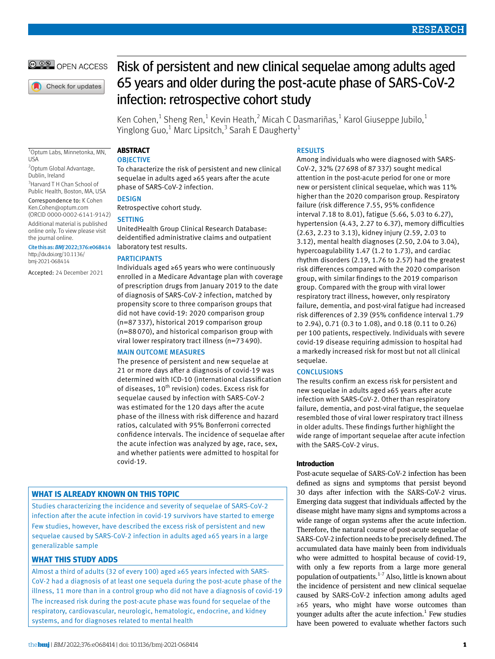# **@ 00 OPEN ACCESS**

Check for updates

# Risk of persistent and new clinical sequelae among adults aged 65 years and older during the post-acute phase of SARS-CoV-2 infection: retrospective cohort study

Ken Cohen,<sup>1</sup> Sheng Ren,<sup>1</sup> Kevin Heath,<sup>2</sup> Micah C Dasmariñas,<sup>1</sup> Karol Giuseppe Jubilo,<sup>1</sup> Yinglong Guo, $^1$  Marc Lipsitch, $^3$  Sarah E Daugherty $^1$ 

1 Optum Labs, Minnetonka, MN, USA

2 Optum Global Advantage, Dublin, Ireland

<sup>3</sup> Harvard T H Chan School of Public Health, Boston, MA, USA

Correspondence to: K Cohen [Ken.Cohen@optum.com](mailto:Ken.Cohen@optum.com) (ORCID [0000-0002-6141-9142](https://orcid.org/0000-0002-6141-9142)) Additional material is published online only. To view please visit the journal online.

Cite this as: *BMJ*2022;376:e068414 [http://dx.doi.org/10.1136/](https://dx.doi.org/10.1136/bmj-2021-068414) [bmj-2021-068414](https://dx.doi.org/10.1136/bmj-2021-068414)

Accepted: 24 December 2021

**Abstract**

# **OBJECTIVE**

To characterize the risk of persistent and new clinical sequelae in adults aged ≥65 years after the acute phase of SARS-CoV-2 infection.

# **DESIGN**

Retrospective cohort study.

# **SETTING**

UnitedHealth Group Clinical Research Database: deidentified administrative claims and outpatient laboratory test results.

# **PARTICIPANTS**

Individuals aged ≥65 years who were continuously enrolled in a Medicare Advantage plan with coverage of prescription drugs from January 2019 to the date of diagnosis of SARS-CoV-2 infection, matched by propensity score to three comparison groups that did not have covid-19: 2020 comparison group (n=87337), historical 2019 comparison group (n=88070), and historical comparison group with viral lower respiratory tract illness (n=73490).

### Main outcome measures

The presence of persistent and new sequelae at 21 or more days after a diagnosis of covid-19 was determined with ICD-10 (international classification of diseases,  $10^{th}$  revision) codes. Excess risk for sequelae caused by infection with SARS-CoV-2 was estimated for the 120 days after the acute phase of the illness with risk difference and hazard ratios, calculated with 95% Bonferroni corrected confidence intervals. The incidence of sequelae after the acute infection was analyzed by age, race, sex, and whether patients were admitted to hospital for covid-19.

# **What is already known on this topic**

Studies characterizing the incidence and severity of sequelae of SARS-CoV-2 infection after the acute infection in covid-19 survivors have started to emerge Few studies, however, have described the excess risk of persistent and new sequelae caused by SARS-CoV-2 infection in adults aged ≥65 years in a large generalizable sample

# **What this study adds**

Almost a third of adults (32 of every 100) aged ≥65 years infected with SARS-CoV-2 had a diagnosis of at least one sequela during the post-acute phase of the illness, 11 more than in a control group who did not have a diagnosis of covid-19 The increased risk during the post-acute phase was found for sequelae of the respiratory, cardiovascular, neurologic, hematologic, endocrine, and kidney systems, and for diagnoses related to mental health

# Results

Among individuals who were diagnosed with SARS-CoV-2, 32% (27698 of 87337) sought medical attention in the post-acute period for one or more new or persistent clinical sequelae, which was 11% higher than the 2020 comparison group. Respiratory failure (risk difference 7.55, 95% confidence interval 7.18 to 8.01), fatigue (5.66, 5.03 to 6.27), hypertension (4.43, 2.27 to 6.37), memory difficulties (2.63, 2.23 to 3.13), kidney injury (2.59, 2.03 to 3.12), mental health diagnoses (2.50, 2.04 to 3.04), hypercoagulability 1.47 (1.2 to 1.73), and cardiac rhythm disorders (2.19, 1.76 to 2.57) had the greatest risk differences compared with the 2020 comparison group, with similar findings to the 2019 comparison group. Compared with the group with viral lower respiratory tract illness, however, only respiratory failure, dementia, and post-viral fatigue had increased risk differences of 2.39 (95% confidence interval 1.79 to 2.94), 0.71 (0.3 to 1.08), and 0.18 (0.11 to 0.26) per 100 patients, respectively. Individuals with severe covid-19 disease requiring admission to hospital had a markedly increased risk for most but not all clinical sequelae.

### **CONCLUSIONS**

The results confirm an excess risk for persistent and new sequelae in adults aged ≥65 years after acute infection with SARS-CoV-2. Other than respiratory failure, dementia, and post-viral fatigue, the sequelae resembled those of viral lower respiratory tract illness in older adults. These findings further highlight the wide range of important sequelae after acute infection with the SARS-CoV-2 virus.

### **Introduction**

Post-acute sequelae of SARS-CoV-2 infection has been defined as signs and symptoms that persist beyond 30 days after infection with the SARS-CoV-2 virus. Emerging data suggest that individuals affected by the disease might have many signs and symptoms across a wide range of organ systems after the acute infection. Therefore, the natural course of post-acute sequelae of SARS-CoV-2 infection needs to be precisely defined. The accumulated data have mainly been from individuals who were admitted to hospital because of covid-19, with only a few reports from a large more general population of outpatients. $1-7$  Also, little is known about the incidence of persistent and new clinical sequelae caused by SARS-CoV-2 infection among adults aged ≥65 years, who might have worse outcomes than younger adults after the acute infection. $<sup>1</sup>$  Few studies</sup> have been powered to evaluate whether factors such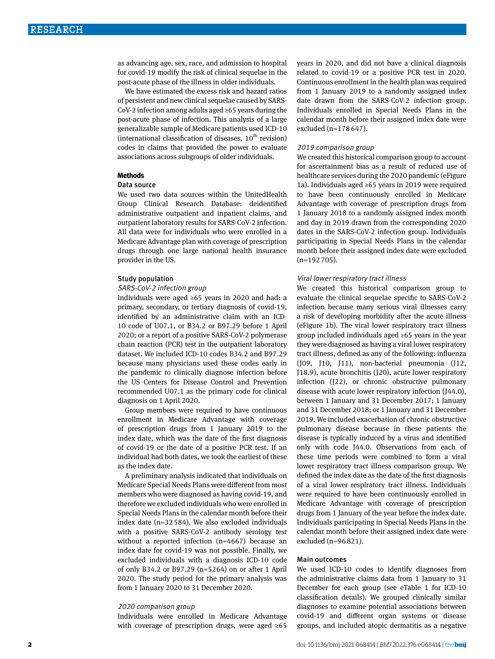as advancing age, sex, race, and admission to hospital for covid-19 modify the risk of clinical sequelae in the post-acute phase of the illness in older individuals.

We have estimated the excess risk and hazard ratios of persistent and new clinical sequelae caused by SARS-CoV-2 infection among adults aged ≥65 years during the post-acute phase of infection. This analysis of a large generalizable sample of Medicare patients used ICD-10 (international classification of diseases,  $10<sup>th</sup>$  revision) codes in claims that provided the power to evaluate associations across subgroups of older individuals.

#### **Methods**

#### Data source

We used two data sources within the UnitedHealth Group Clinical Research Database: deidentified administrative outpatient and inpatient claims, and outpatient laboratory results for SARS-CoV-2 infection. All data were for individuals who were enrolled in a Medicare Advantage plan with coverage of prescription drugs through one large national health insurance provider in the US.

#### Study population

#### SARS-CoV-2 infection group

Individuals were aged ≥65 years in 2020 and had: a primary, secondary, or tertiary diagnosis of covid-19, identified by an administrative claim with an ICD-10 code of U07.1, or B34.2 or B97.29 before 1 April 2020; or a report of a positive SARS-CoV-2 polymerase chain reaction (PCR) test in the outpatient laboratory dataset. We included ICD-10 codes B34.2 and B97.29 because many physicians used these codes early in the pandemic to clinically diagnose infection before the US Centers for Disease Control and Prevention recommended U07.1 as the primary code for clinical diagnosis on 1 April 2020.

Group members were required to have continuous enrollment in Medicare Advantage with coverage of prescription drugs from 1 January 2019 to the index date, which was the date of the first diagnosis of covid-19 or the date of a positive PCR test. If an individual had both dates, we took the earliest of these as the index date.

A preliminary analysis indicated that individuals on Medicare Special Needs Plans were different from most members who were diagnosed as having covid-19, and therefore we excluded individuals who were enrolled in Special Needs Plans in the calendar month before their index date (n=32584). We also excluded individuals with a positive SARS-CoV-2 antibody serology test without a reported infection (n=4667) because an index date for covid-19 was not possible. Finally, we excluded individuals with a diagnosis ICD-10 code of only B34.2 or B97.29 (n=5264) on or after 1 April 2020. The study period for the primary analysis was from 1 January 2020 to 31 December 2020.

#### 2020 comparison group

Individuals were enrolled in Medicare Advantage with coverage of prescription drugs, were aged ≥65 years in 2020, and did not have a clinical diagnosis related to covid-19 or a positive PCR test in 2020. Continuous enrollment in the health plan was required from 1 January 2019 to a randomly assigned index date drawn from the SARS-CoV-2 infection group. Individuals enrolled in Special Needs Plans in the calendar month before their assigned index date were excluded (n=178647).

# 2019 comparison group

We created this historical comparison group to account for ascertainment bias as a result of reduced use of healthcare services during the 2020 pandemic (eFigure 1a). Individuals aged ≥65 years in 2019 were required to have been continuously enrolled in Medicare Advantage with coverage of prescription drugs from 1 January 2018 to a randomly assigned index month and day in 2019 drawn from the corresponding 2020 dates in the SARS-CoV-2 infection group. Individuals participating in Special Needs Plans in the calendar month before their assigned index date were excluded (n=192705).

#### Viral lower respiratory tract illness

We created this historical comparison group to evaluate the clinical sequelae specific to SARS-CoV-2 infection because many serious viral illnesses carry a risk of developing morbidity after the acute illness (eFigure 1b). The viral lower respiratory tract illness group included individuals aged ≥65 years in the year they were diagnosed as having a viral lower respiratory tract illness, defined as any of the following: influenza (J09, J10, J11), non-bacterial pneumonia (J12, J18.9), acute bronchitis (J20), acute lower respiratory infection (J22), or chronic obstructive pulmonary disease with acute lower respiratory infection (J44.0), between 1 January and 31 December 2017; 1 January and 31 December 2018; or 1 January and 31 December 2019. We included exacerbation of chronic obstructive pulmonary disease because in these patients the disease is typically induced by a virus and identified only with code J44.0. Observations from each of these time periods were combined to form a viral lower respiratory tract illness comparison group. We defined the index date as the date of the first diagnosis of a viral lower respiratory tract illness. Individuals were required to have been continuously enrolled in Medicare Advantage with coverage of prescription drugs from 1 January of the year before the index date. Individuals participating in Special Needs Plans in the calendar month before their assigned index date were excluded (n=96821).

#### Main outcomes

We used ICD-10 codes to identify diagnoses from the administrative claims data from 1 January to 31 December for each group (see eTable 1 for ICD-10 classification details). We grouped clinically similar diagnoses to examine potential associations between covid-19 and different organ systems or disease groups, and included atopic dermatitis as a negative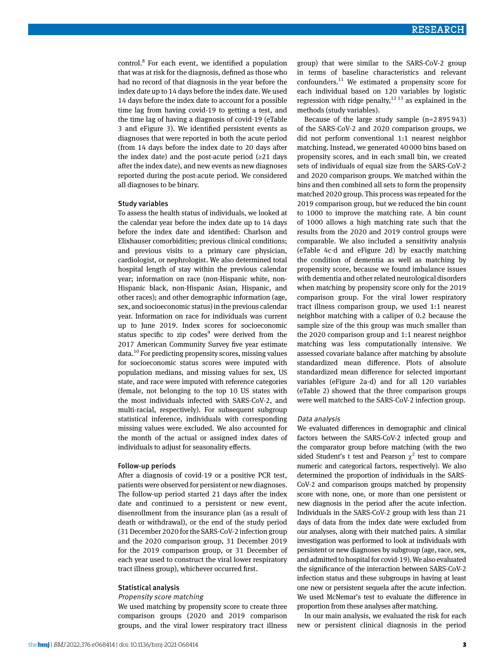control.<sup>8</sup> For each event, we identified a population that was at risk for the diagnosis, defined as those who had no record of that diagnosis in the year before the index date up to 14 days before the index date. We used 14 days before the index date to account for a possible time lag from having covid-19 to getting a test, and the time lag of having a diagnosis of covid-19 (eTable 3 and eFigure 3). We identified persistent events as diagnoses that were reported in both the acute period (from 14 days before the index date to 20 days after the index date) and the post-acute period  $(≥21$  days after the index date), and new events as new diagnoses reported during the post-acute period. We considered all diagnoses to be binary.

#### Study variables

To assess the health status of individuals, we looked at the calendar year before the index date up to 14 days before the index date and identified: Charlson and Elixhauser comorbidities; previous clinical conditions; and previous visits to a primary care physician, cardiologist, or nephrologist. We also determined total hospital length of stay within the previous calendar year; information on race (non-Hispanic white, non-Hispanic black, non-Hispanic Asian, Hispanic, and other races); and other demographic information (age, sex, and socioeconomic status) in the previous calendar year. Information on race for individuals was current up to June 2019. Index scores for socioeconomic status specific to zip codes<sup>9</sup> were derived from the 2017 American Community Survey five year estimate data.<sup>10</sup> For predicting propensity scores, missing values for socioeconomic status scores were imputed with population medians, and missing values for sex, US state, and race were imputed with reference categories (female, not belonging to the top 10 US states with the most individuals infected with SARS-CoV-2, and multi-racial, respectively). For subsequent subgroup statistical inference, individuals with corresponding missing values were excluded. We also accounted for the month of the actual or assigned index dates of individuals to adjust for seasonality effects.

#### Follow-up periods

After a diagnosis of covid-19 or a positive PCR test, patients were observed for persistent or new diagnoses. The follow-up period started 21 days after the index date and continued to a persistent or new event, disenrollment from the insurance plan (as a result of death or withdrawal), or the end of the study period (31 December 2020 for the SARS-CoV-2 infection group and the 2020 comparison group, 31 December 2019 for the 2019 comparison group, or 31 December of each year used to construct the viral lower respiratory tract illness group), whichever occurred first.

### Statistical analysis

#### Propensity score matching

We used matching by propensity score to create three comparison groups (2020 and 2019 comparison groups, and the viral lower respiratory tract illness

group) that were similar to the SARS-CoV-2 group in terms of baseline characteristics and relevant confounders.11 We estimated a propensity score for each individual based on 120 variables by logistic regression with ridge penalty,  $12^{13}$  as explained in the methods (study variables).

Because of the large study sample (n=2895943) of the SARS-CoV-2 and 2020 comparison groups, we did not perform conventional 1:1 nearest neighbor matching. Instead, we generated 40000 bins based on propensity scores, and in each small bin, we created sets of individuals of equal size from the SARS-CoV-2 and 2020 comparison groups. We matched within the bins and then combined all sets to form the propensity matched 2020 group. This process was repeated for the 2019 comparison group, but we reduced the bin count to 1000 to improve the matching rate. A bin count of 1000 allows a high matching rate such that the results from the 2020 and 2019 control groups were comparable. We also included a sensitivity analysis (eTable 4c-d and eFigure 2d) by exactly matching the condition of dementia as well as matching by propensity score, because we found imbalance issues with dementia and other related neurological disorders when matching by propensity score only for the 2019 comparison group. For the viral lower respiratory tract illness comparison group, we used 1:1 nearest neighbor matching with a caliper of 0.2 because the sample size of the this group was much smaller than the 2020 comparison group and 1:1 nearest neighbor matching was less computationally intensive. We assessed covariate balance after matching by absolute standardized mean difference. Plots of absolute standardized mean difference for selected important variables (eFigure 2a-d) and for all 120 variables (eTable 2) showed that the three comparison groups were well matched to the SARS-CoV-2 infection group.

#### Data analysis

We evaluated differences in demographic and clinical factors between the SARS-CoV-2 infected group and the comparator group before matching (with the two sided Student's t test and Pearson  $\chi^2$  test to compare numeric and categorical factors, respectively). We also determined the proportion of individuals in the SARS-CoV-2 and comparison groups matched by propensity score with none, one, or more than one persistent or new diagnosis in the period after the acute infection. Individuals in the SARS-CoV-2 group with less than 21 days of data from the index date were excluded from our analyses, along with their matched pairs. A similar investigation was performed to look at individuals with persistent or new diagnoses by subgroup (age, race, sex, and admitted to hospital for covid-19). We also evaluated the significance of the interaction between SARS-CoV-2 infection status and these subgroups in having at least one new or persistent sequela after the acute infection. We used McNemar's test to evaluate the difference in proportion from these analyses after matching.

In our main analysis, we evaluated the risk for each new or persistent clinical diagnosis in the period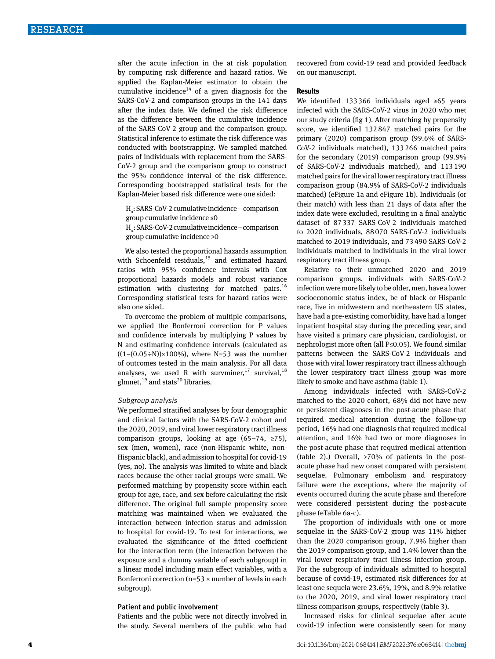after the acute infection in the at risk population by computing risk difference and hazard ratios. We applied the Kaplan-Meier estimator to obtain the cumulative incidence<sup>14</sup> of a given diagnosis for the SARS-CoV-2 and comparison groups in the 141 days after the index date. We defined the risk difference as the difference between the cumulative incidence of the SARS-CoV-2 group and the comparison group. Statistical inference to estimate the risk difference was conducted with bootstrapping. We sampled matched pairs of individuals with replacement from the SARS-CoV-2 group and the comparison group to construct the 95% confidence interval of the risk difference. Corresponding bootstrapped statistical tests for the Kaplan-Meier based risk difference were one sided:

H<sub>o</sub>: SARS-CoV-2 cumulative incidence – comparison group cumulative incidence ≤0

H<sub>a</sub>: SARS-CoV-2 cumulative incidence – comparison group cumulative incidence >0

We also tested the proportional hazards assumption with Schoenfeld residuals, $15$  and estimated hazard ratios with 95% confidence intervals with Cox proportional hazards models and robust variance estimation with clustering for matched pairs.<sup>16</sup> Corresponding statistical tests for hazard ratios were also one sided.

To overcome the problem of multiple comparisons, we applied the Bonferroni correction for P values and confidence intervals by multiplying P values by N and estimating confidence intervals (calculated as  $((1-(0.05\div N)) \times 100\%)$ , where N=53 was the number of outcomes tested in the main analysis. For all data analyses, we used R with survminer,<sup>17</sup> survival,<sup>18</sup> glmnet,<sup>19</sup> and stats<sup>20</sup> libraries.

#### Subgroup analysis

We performed stratified analyses by four demographic and clinical factors with the SARS-CoV-2 cohort and the 2020, 2019, and viral lower respiratory tract illness comparison groups, looking at age (65–74, ≥75), sex (men, women), race (non-Hispanic white, non-Hispanic black), and admission to hospital for covid-19 (yes, no). The analysis was limited to white and black races because the other racial groups were small. We performed matching by propensity score within each group for age, race, and sex before calculating the risk difference. The original full sample propensity score matching was maintained when we evaluated the interaction between infection status and admission to hospital for covid-19. To test for interactions, we evaluated the significance of the fitted coefficient for the interaction term (the interaction between the exposure and a dummy variable of each subgroup) in a linear model including main effect variables, with a Bonferroni correction ( $n=53 \times$  number of levels in each subgroup).

### Patient and public involvement

Patients and the public were not directly involved in the study. Several members of the public who had recovered from covid-19 read and provided feedback on our manuscript.

#### **Results**

We identified 133366 individuals aged ≥65 years infected with the SARS-CoV-2 virus in 2020 who met our study criteria (fig 1). After matching by propensity score, we identified 132847 matched pairs for the primary (2020) comparison group (99.6% of SARS-CoV-2 individuals matched), 133266 matched pairs for the secondary (2019) comparison group (99.9% of SARS-CoV-2 individuals matched), and 113190 matched pairs for the viral lower respiratory tract illness comparison group (84.9% of SARS-CoV-2 individuals matched) (eFigure 1a and eFigure 1b). Individuals (or their match) with less than 21 days of data after the index date were excluded, resulting in a final analytic dataset of 87337 SARS-CoV-2 individuals matched to 2020 individuals, 88070 SARS-CoV-2 individuals matched to 2019 individuals, and 73490 SARS-CoV-2 individuals matched to individuals in the viral lower respiratory tract illness group.

Relative to their unmatched 2020 and 2019 comparison groups, individuals with SARS-CoV-2 infection were more likely to be older, men, have a lower socioeconomic status index, be of black or Hispanic race, live in midwestern and northeastern US states, have had a pre-existing comorbidity, have had a longer inpatient hospital stay during the preceding year, and have visited a primary care physician, cardiologist, or nephrologist more often (all P≤0.05). We found similar patterns between the SARS-CoV-2 individuals and those with viral lower respiratory tract illness although the lower respiratory tract illness group was more likely to smoke and have asthma (table 1).

Among individuals infected with SARS-CoV-2 matched to the 2020 cohort, 68% did not have new or persistent diagnoses in the post-acute phase that required medical attention during the follow-up period, 16% had one diagnosis that required medical attention, and 16% had two or more diagnoses in the post-acute phase that required medical attention (table 2).) Overall, >70% of patients in the postacute phase had new onset compared with persistent sequelae. Pulmonary embolism and respiratory failure were the exceptions, where the majority of events occurred during the acute phase and therefore were considered persistent during the post-acute phase (eTable 6a-c).

The proportion of individuals with one or more sequelae in the SARS-CoV-2 group was 11% higher than the 2020 comparison group, 7.9% higher than the 2019 comparison group, and 1.4% lower than the viral lower respiratory tract illness infection group. For the subgroup of individuals admitted to hospital because of covid-19, estimated risk differences for at least one sequela were 23.6%, 19%, and 8.9% relative to the 2020, 2019, and viral lower respiratory tract illness comparison groups, respectively (table 3).

Increased risks for clinical sequelae after acute covid-19 infection were consistently seen for many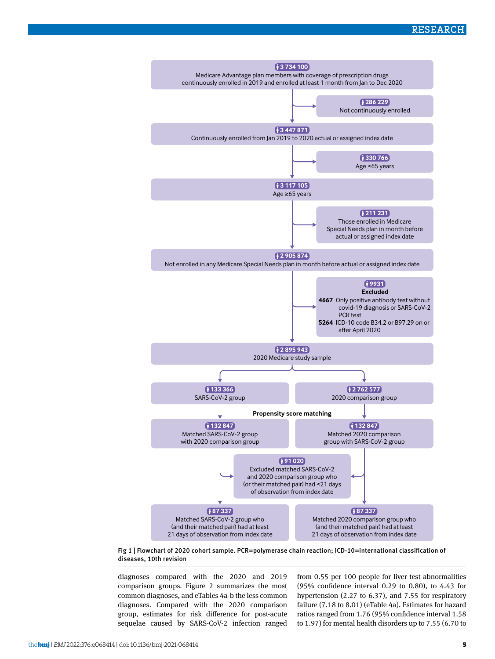

Fig 1 | Flowchart of 2020 cohort sample. PCR=polymerase chain reaction; ICD-10=international classification of diseases, 10th revision

diagnoses compared with the 2020 and 2019 comparison groups. Figure 2 summarizes the most common diagnoses, and eTables 4a-b the less common diagnoses. Compared with the 2020 comparison group, estimates for risk difference for post-acute sequelae caused by SARS-CoV-2 infection ranged from 0.55 per 100 people for liver test abnormalities (95% confidence interval 0.29 to 0.80), to 4.43 for hypertension (2.27 to 6.37), and 7.55 for respiratory failure (7.18 to 8.01) (eTable 4a). Estimates for hazard ratios ranged from 1.76 (95% confidence interval 1.58 to 1.97) for mental health disorders up to 7.55 (6.70 to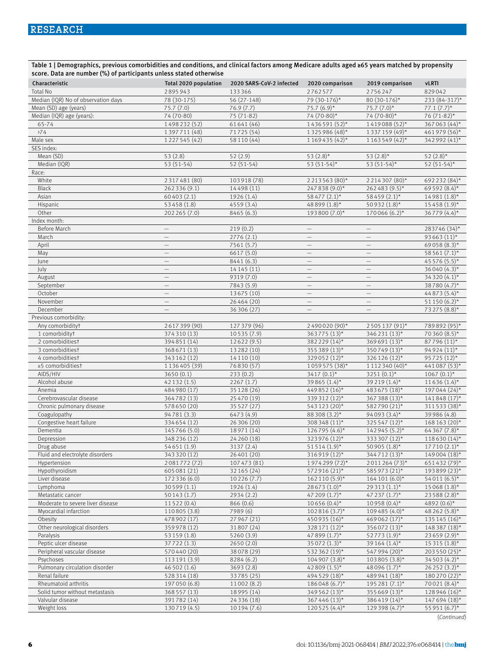Table 1 | Demographics, previous comorbidities and conditions, and clinical factors among Medicare adults aged ≥65 years matched by propensity score. Data are number (%) of participants unless stated otherwise

| Characteristic                      | Total 2020 population    | 2020 SARS-CoV-2 infected | 2020 comparison          | 2019 comparison          | <b>vLRTI</b>     |
|-------------------------------------|--------------------------|--------------------------|--------------------------|--------------------------|------------------|
| <b>Total No</b>                     | 2895943                  | 133366                   | 2762577                  | 2756247                  | 829042           |
| Median (IQR) No of observation days | 78 (30-175)              | 56 (27-148)              | 79 (30-176)*             | 80 (30-176)*             | 233 (84-317)*    |
| Mean (SD) age (years)               | 75.7 (7.0)               | 76.9 (7.7)               | $75.7(6.9)$ *            | $75.7(7.0)$ *            | $77.1 (7.7)^*$   |
| Median (IQR) age (years):           | 74 (70-80)               | 75 (71-82)               | 74 (70-80)*              | 74 (70-80)*              | 76 (71-82)*      |
| 65-74                               | 1498232(52)              | 61641 (46)               | $1436591(52)$ *          | 1419088 (52)*            | 367063 (44)*     |
| 274                                 | 1397711 (48)             | 71725 (54)               | 1325986 (48)*            | 1337159 (49)*            | 461979 (56)*     |
| Male sex                            | 1227545 (42)             | 58 110 (44)              | 1169435 (42)*            | 1163549 (42)*            | 342992 (41)*     |
| SES index:                          |                          |                          |                          |                          |                  |
| Mean (SD)                           | 53(2.8)                  | 52 (2.9)                 | 53 $(2.8)$ *             | 53 $(2.8)$ *             | 52 $(2.8)$ *     |
| Median (IQR)                        | $53(51-54)$              | $52(51-54)$              | 53 $(51-54)^*$           | 53 $(51-54)^*$           | 52 (51-54)*      |
| Race:                               |                          |                          |                          |                          |                  |
| White                               | 2317481 (80)             | 103918 (78)              | 2213563 (80)*            | 2 2 1 4 3 0 7 (80)*      | 692 232 (84)*    |
| Black                               | 262 336 (9.1)            | 14498 (11)               | 247838 (9.0)*            | 262483 (9.5)*            | 69592 (8.4)*     |
| Asian                               | 60403 (2.1)              | 1926 (1.4)               | 58 477 (2.1)*            | 58459 (2.1)*             | $14981(1.8)$ *   |
| Hispanic                            | 53458 (1.8)              | 4559(3.4)                | 48 899 (1.8)*            | 50932 (1.8)*             | $15458(1.9)$ *   |
| Other                               | 202 265 (7.0)            | 8465 (6.3)               | 193800 (7.0)*            | $170066(6.2)$ *          | 36779 (4.4)*     |
| Index month:                        |                          |                          |                          |                          |                  |
| Before March                        | $\qquad \qquad -$        | 219(0.2)                 | $\qquad \qquad -$        | $\qquad \qquad -$        | 283746 (34)*     |
| March                               |                          | 2776 (2.1)               |                          | $\qquad \qquad -$        | 93663 $(11)^*$   |
| April                               | $\qquad \qquad -$        | 7561 (5.7)               | $\equiv$                 | $\equiv$                 | 69058 (8.3)*     |
| May                                 | $\overline{\phantom{0}}$ | 6617 (5.0)               | $\overline{\phantom{0}}$ | $\overline{\phantom{0}}$ | $58561(7.1)$ *   |
| June                                |                          | 8441 (6.3)               |                          | $\overline{\phantom{0}}$ | 45 576 (5.5)*    |
| July                                | $\overline{\phantom{m}}$ | 14 14 5 (11)             | $\overline{\phantom{m}}$ | $\overline{\phantom{m}}$ | $36040(4.3)$ *   |
| August                              |                          | 9319 (7.0)               | $\qquad \qquad -$        | $\overline{\phantom{m}}$ | 34 320 (4.1)*    |
| September                           | $\qquad \qquad -$        | 7843 (5.9)               | $\qquad \qquad -$        | $\qquad \qquad -$        | 38780 (4.7)*     |
| October                             | $\qquad \qquad -$        | 13675 (10)               | $\qquad \qquad -$        | $\qquad \qquad -$        | $44873(5.4)$ *   |
| November                            | $\overline{\phantom{0}}$ | 26464(20)                | $\overline{\phantom{0}}$ | $\qquad \qquad -$        | 51 150 $(6.2)$ * |
| December                            | $\equiv$                 | 36 306 (27)              | $\overline{\phantom{m}}$ | $\overline{\phantom{0}}$ | 73 275 (8.8)*    |
| Previous comorbidity:               |                          |                          |                          |                          |                  |
| Any comorbidityt                    | 2617399 (90)             | 127379 (96)              | 2490020 (90)*            | 2505137 (91)*            | 789892 (95)*     |
| 1 comorbidityt                      | 374310 (13)              | 10535 (7.9)              | 363775 (13)*             | 346231 (13)*             | 70 360 (8.5)*    |
| 2 comorbiditiest                    | 394851 (14)              | 12622 (9.5)              | 382229 (14)*             | 369691 (13)*             | 87796 (11)*      |
| 3 comorbiditiest                    | 368 671 (13)             | 13 28 2 (10)             | 355389 (13)*             | 350749 (13)*             | 94924 (11)*      |
| 4 comorbiditiest                    | 343 162 (12)             | 14 110 (10)              | 329052 (12)*             | 326126 (12)*             | 95725 (12)*      |
| ≥5 comorbiditiest                   | 1136405 (39)             | 76830 (57)               | 1059575 (38)*            | 1112340 (40)*            | 441 087 (53)*    |
| AIDS/HIV                            | 3650(0.1)                | 233 (0.2)                | $3417(0.1)$ *            | 3251 $(0.1)^*$           | $1067(0.1)^{*}$  |
| Alcohol abuse                       | 42 132 (1.5)             | 2267(1.7)                | 39 865 (1.4)*            | 39 219 (1.4)*            | $11636(1.4)$ *   |
| Anemia                              | 484 980 (17)             | 35 128 (26)              | 449852 (16)*             | 483675 (18)*             | 197044 (24)*     |
| Cerebrovascular disease             | 364782 (13)              | 25 470 (19)              | 339312 (12)*             | 367 388 (13)*            | $141848(17)$ *   |
| Chronic pulmonary disease           | 578650 (20)              | 35 5 27 (27)             | 543 123 (20)*            | 582790 (21)*             | 311533 (38)*     |
| Coagulopathy                        | 94781 (3.3)              | 6473 (4.9)               | 88308 (3.2)*             | 94093 (3.4)*             | 39 986 (4.8)     |
| Congestive heart failure            | 334654 (12)              | 26 306 (20)              | 308 348 (11)*            | 325 547 (12)*            | $168163(20)$ *   |
| Dementia                            | 145766 (5.0)             | 18971 (14)               | 126795 (4.6)*            | 142 945 (5.2)*           | 64 367 (7.8)*    |
| Depression                          | 348236 (12)              | 24 260 (18)              | 323976 (12)*             | 333 307 (12)*            | 118630 (14)*     |
| Drug abuse                          | 54651 (1.9)              | 3137 (2.4)               | $51514(1.9)$ *           | 50905 (1.8)*             | $17710(2.1)$ *   |
| Fluid and electrolyte disorders     | 343320 (12)              | 26 401 (20)              | 316919 (12)*             | 344712 (13)*             | $149004(18)$ *   |
| Hypertension                        | 2081772 (72)             | 107473 (81)              | 1974299 (72)*            | 2011264 (73)*            | 651432 (79)*     |
| Hypothyroidism                      | 605 081 (21)             | 32 165 (24)              | $572916(21)$ *           | $585973(21)$ *           | $193899(23)*$    |
| Liver disease                       | 172 336 (6.0)            | 10 2 26 (7.7)            | 162 110 (5.9)*           | $164101(6.0)*$           | $54011(6.5)^{*}$ |
| Lymphoma                            | 30599 (1.1)              | 1926 (1.4)               | $28673(1.0)$ *           | $29313(1.1)$ *           | $15068(1.8)$ *   |
| Metastatic cancer                   | 50143 (1.7)              | 2934 (2.2)               | 47 209 $(1.7)^*$         | 47 237 $(1.7)^*$         | 23588 (2.8)*     |
| Moderate to severe liver disease    | 11522 (0.4)              | 866 (0.6)                | $10656(0.4)$ *           | $10958(0.4)$ *           | 4892 $(0.6)$ *   |
| Myocardial infarction               | 110805 (3.8)             | 7989 (6)                 | $102816(3.7)^{*}$        | 109 485 (4.0)*           | 48 262 (5.8)*    |
| Obesity                             | 478 902 (17)             | 27 967 (21)              | 450935 (16)*             | 469062 (17)*             | 135 145 (16)*    |
| Other neurological disorders        | 359978 (12)              | 31807 (24)               | 328171 (12)*             | 356072 (13)*             | 148 387 (18)*    |
| Paralysis                           | 53159 (1.8)              | 5260 (3.9)               | 47 899 $(1.7)$ *         | 52773 (1.9)*             | $23659(2.9)$ *   |
| Peptic ulcer disease                | 37722 (1.3)              | 2650(2.0)                | 35 072 (1.3)*            | 39 164 (1.4)*            | $15315(1.8)$ *   |
| Peripheral vascular disease         | 570440 (20)              | 38078 (29)               | 532 362 (19)*            | 547 994 (20)*            | $203550(25)^{*}$ |
| Psychoses                           | 113 191 (3.9)            | 8284 (6.2)               | 104 907 (3.8)*           | 103 805 (3.8)*           | $34503(4.2)$ *   |
| Pulmonary circulation disorder      | 46 502 (1.6)             | 3693 (2.8)               | 42809 $(1.5)^*$          | $48096(1.7)^*$           | $26252(3.2)^{*}$ |
| Renal failure                       | 528314 (18)              | 33785 (25)               | 494 529 (18)*            | 489 941 (18)*            | $180270(22)$ *   |
| Rheumatoid arthritis                | 197050 (6.8)             | 11002 (8.2)              | 186048 (6.7)*            | 195 281 (7.1)*           | 70021 (8.4)*     |
| Solid tumor without metastasis      | 368557 (13)              | 18 9 95 (14)             | 349562 (13)*             | 355 669 (13)*            | $128946(16)$ *   |
| Valvular disease                    | 391782 (14)              | 24 336 (18)              | 367446 (13)*             | 386419 (14)*             | $147694(18)$ *   |
| Weight loss                         | 130719 (4.5)             | 10 194 (7.6)             | 120525 (4.4)*            | 129398 (4.7)*            | 55 951 $(6.7)^*$ |

(*Continued*)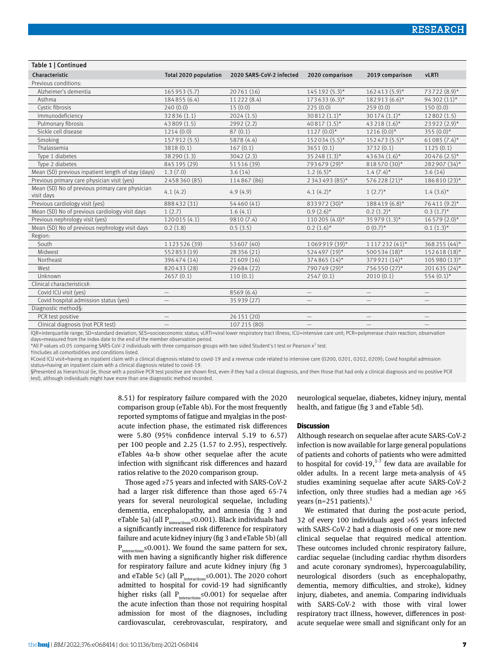#### Table 1 | Continued

| Characteristic                                                | Total 2020 population    | 2020 SARS-CoV-2 infected | 2020 comparison          | 2019 comparison          | <b>vLRTI</b>             |
|---------------------------------------------------------------|--------------------------|--------------------------|--------------------------|--------------------------|--------------------------|
| Previous conditions:                                          |                          |                          |                          |                          |                          |
| Alzheimer's dementia                                          | 165953 (5.7)             | 20761 (16)               | 145 192 (5.3)*           | $162413(5.9)$ *          | 73722 (8.9)*             |
| Asthma                                                        | 184855 (6.4)             | 11222 (8.4)              | $173633(6.3)$ *          | 182913 (6.6)*            | 94 302 (11)*             |
| Cystic fibrosis                                               | 240(0.0)                 | 15(0.0)                  | 225(0.0)                 | 259(0.0)                 | 150(0.0)                 |
| Immunodeficiency                                              | 32836 (1.1)              | 2024(1.5)                | $30812(1.1)^*$           | $30174(1.1)$ *           | 12802(1.5)               |
| Pulmonary fibrosis                                            | 43809 (1.5)              | 2992 (2.2)               | $40817(1.5)^*$           | 43 218 (1.6)*            | 23 922 (2.9)*            |
| Sickle cell disease                                           | 1214(0.0)                | 87(0.1)                  | $1127(0.0)*$             | $1216(0.0)*$             | 355 $(0.0)*$             |
| Smoking                                                       | 157912 (5.5)             | 5878 (4.4)               | $152034(5.5)^*$          | 152473 (5.5)*            | $61085(7.4)$ *           |
| Thalassemia                                                   | 3818 (0.1)               | 167(0.1)                 | 3651(0.1)                | 3732 (0.1)               | 1125(0.1)                |
| Type 1 diabetes                                               | 38 290 (1.3)             | 3042 (2.3)               | $35248(1.3)$ *           | $43634(1.6)$ *           | $20476(2.5)$ *           |
| Type 2 diabetes                                               | 845 195 (29)             | 51516 (39)               | 793679 (29)*             | 818570 (30)*             | 282 907 (34)*            |
| Mean (SD) previous inpatient length of stay (days)            | 1.3(7.0)                 | 3.6(14)                  | $1.2(6.5)^{*}$           | $1.4(7.4)^*$             | 3.6(14)                  |
| Previous primary care physician visit (yes)                   | 2458360 (85)             | 114867 (86)              | 2 3 4 3 4 9 3 (8 5)*     | 576228 (21)*             | $186810(23)$ *           |
| Mean (SD) No of previous primary care physician<br>visit days | 4.1(4.2)                 | 4.9(4.9)                 | 4.1 $(4.2)$ *            | $1(2.7)^{*}$             | $1.4(3.6)$ *             |
| Previous cardiology visit (yes)                               | 888432 (31)              | 54460 (41)               | 833972 (30)*             | 188419 (6.8)*            | 76411 (9.2)*             |
| Mean (SD) No of previous cardiology visit days                | 1(2.7)                   | 1.6(4.1)                 | $0.9(2.6)$ *             | $0.2(1.2)^{*}$           | $0.3(1.7)^*$             |
| Previous nephrology visit (yes)                               | 120015 (4.1)             | 9810 (7.4)               | 110 205 (4.0)*           | 35 979 (1.3)*            | $16579(2.0)$ *           |
| Mean (SD) No of previous nephrology visit days                | 0.2(1.8)                 | 0.5(3.5)                 | $0.2(1.6)^*$             | $0(0.7)^*$               | $0.1(1.3)^*$             |
| Region:                                                       |                          |                          |                          |                          |                          |
| South                                                         | 1123526 (39)             | 53607 (40)               | 1069919 (39)*            | $1117232(41)$ *          | 368 255 (44)*            |
| Midwest                                                       | 552853 (19)              | 28 356 (21)              | 524497 (19)*             | 500 534 (18)*            | 152618 (18)*             |
| Northeast                                                     | 396474 (14)              | 21609 (16)               | 374865 (14)*             | 379921 (14)*             | 105 980 (13)*            |
| West                                                          | 820433 (28)              | 29684 (22)               | 790749 (29)*             | 756550 (27)*             | $201635(24)$ *           |
| <b>Unknown</b>                                                | 2657(0.1)                | 110(0.1)                 | 2547(0.1)                | 2010(0.1)                | $554(0.1)$ *             |
| Clinical characteristics‡:                                    |                          |                          |                          |                          |                          |
| Covid ICU visit (yes)                                         | $\overline{\phantom{m}}$ | 8569 (6.4)               | $\qquad \qquad -$        | $\overline{\phantom{m}}$ | $\qquad \qquad -$        |
| Covid hospital admission status (yes)                         | $=$                      | 35 939 (27)              | $\overline{\phantom{0}}$ | $\overline{\phantom{0}}$ | $\overline{\phantom{0}}$ |
| Diagnostic method§:                                           |                          |                          |                          |                          |                          |
| PCR test positive                                             | $\overline{\phantom{m}}$ | 26 151 (20)              | -                        | $\qquad \qquad -$        | $\qquad \qquad -$        |
| Clinical diagnosis (not PCR test)                             | $\overline{\phantom{0}}$ | 107 215 (80)             | $\overline{\phantom{0}}$ | $\qquad \qquad -$        | $\overline{\phantom{0}}$ |

IQR=interquartile range; SD=standard deviation; SES=socioeconomic status; vLRTI=viral lower respiratory tract illness; ICU=intensive care unit; PCR=polymerase chain reaction; observation days=measured from the index date to the end of the member observation period.

\*All P values ≤0.05 comparing SARS-CoV-2 individuals with three comparison groups with two sided Student's t test or Pearson x<sup>2</sup> test.

†Includes all comorbidities and conditions listed.

‡Covid ICU visit=having an inpatient claim with a clinical diagnosis related to covid-19 and a revenue code related to intensive care (0200, 0201, 0202, 0209); Covid hospital admission status=having an inpatient claim with a clinical diagnosis related to covid-19.

§Presented as hierarchical (ie, those with a positive PCR test positive are shown first, even if they had a clinical diagnosis, and then those that had only a clinical diagnosis and no positive PCR test), although individuals might have more than one diagnostic method recorded.

> 8.51) for respiratory failure compared with the 2020 comparison group (eTable 4b). For the most frequently reported symptoms of fatigue and myalgias in the postacute infection phase, the estimated risk differences were 5.80 (95% confidence interval 5.19 to 6.57) per 100 people and 2.25 (1.57 to 2.95), respectively. eTables 4a-b show other sequelae after the acute infection with significant risk differences and hazard ratios relative to the 2020 comparison group.

> Those aged ≥75 years and infected with SARS-CoV-2 had a larger risk difference than those aged 65-74 years for several neurological sequelae, including dementia, encephalopathy, and amnesia (fig 3 and eTable 5a) (all  $P_{interactions} \leq 0.001$ ). Black individuals had a significantly increased risk difference for respiratory failure and acute kidney injury (fig 3 and eTable 5b) (all P<sub>interaction</sub>≤0.001). We found the same pattern for sex, with men having a significantly higher risk difference for respiratory failure and acute kidney injury (fig 3 and eTable 5c) (all  $P_{interactions} \le 0.001$ ). The 2020 cohort admitted to hospital for covid-19 had significantly higher risks (all  $P_{interactions} \le 0.001$ ) for sequelae after the acute infection than those not requiring hospital admission for most of the diagnoses, including cardiovascular, cerebrovascular, respiratory, and

neurological sequelae, diabetes, kidney injury, mental health, and fatigue (fig 3 and eTable 5d).

#### **Discussion**

Although research on sequelae after acute SARS-CoV-2 infection is now available for large general populations of patients and cohorts of patients who were admitted to hospital for covid-19, $1^{1-7}$  few data are available for older adults. In a recent large meta-analysis of 45 studies examining sequelae after acute SARS-CoV-2 infection, only three studies had a median age >65 years (n=251 patients).<sup>1</sup>

We estimated that during the post-acute period, 32 of every 100 individuals aged ≥65 years infected with SARS-CoV-2 had a diagnosis of one or more new clinical sequelae that required medical attention. These outcomes included chronic respiratory failure, cardiac sequelae (including cardiac rhythm disorders and acute coronary syndromes), hypercoagulability, neurological disorders (such as encephalopathy, dementia, memory difficulties, and stroke), kidney injury, diabetes, and anemia. Comparing individuals with SARS-CoV-2 with those with viral lower respiratory tract illness, however, differences in postacute sequelae were small and significant only for an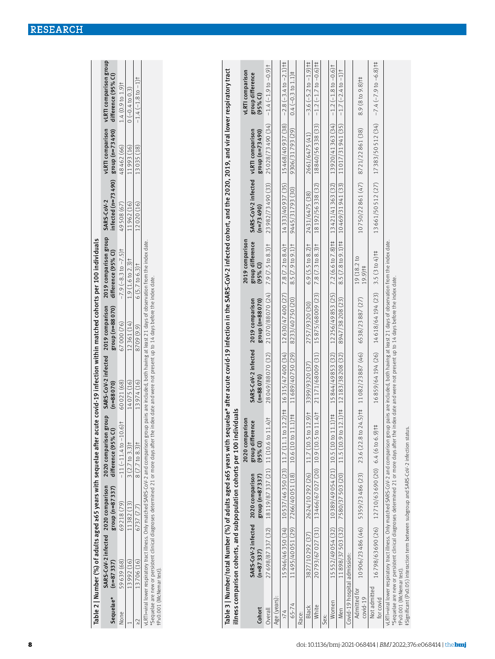| tPs0.001 (McNemar test).     | *Sequelae are new or persistent clinical diagnoses determined 21 or more days after the  |                                     | vLRTI=viral lower respiratory tract illness. Only matched SARS-CoV-2 and comparison group pairs are included, both having at least 21 days of observation from the index date.                                                    |                                    | index date and were not present up to 14 days before the index date. |                                                   |                                    |                                     |                                                    |
|------------------------------|------------------------------------------------------------------------------------------|-------------------------------------|-----------------------------------------------------------------------------------------------------------------------------------------------------------------------------------------------------------------------------------|------------------------------------|----------------------------------------------------------------------|---------------------------------------------------|------------------------------------|-------------------------------------|----------------------------------------------------|
|                              |                                                                                          |                                     |                                                                                                                                                                                                                                   |                                    |                                                                      |                                                   |                                    |                                     |                                                    |
|                              | illness comparison cohorts, and subpopulation cohorts per 100 individuals                |                                     | Table 3   Number/total Number (%) of adults aged ≥65 years with sequelae* after acute covid-19 infection in the SARS-CoV-2 infected cohort, and the 2020, 2019, and viral lower respiratory tract                                 |                                    |                                                                      |                                                   |                                    |                                     |                                                    |
| Cohort                       | SARS-CoV-2 infected<br>$(n=87337)$                                                       | 2020 comparison<br>$group(n=87337)$ | 2020 comparison<br>group difference<br>$(95%$ Cl)                                                                                                                                                                                 | SARS-CoV-2 infected<br>$(n=88070)$ | 2019 comparison<br>group (n=88070)                                   | 2019 comparison<br>group difference<br>$(95%$ CI) | SARS-CoV-2 infected<br>$(n=73490)$ | vLRTI comparison<br>group (n=73490) | vLRTI comparison<br>group difference<br>$(95%$ CI) |
| Overall                      | 27698/87337 (32)                                                                         | 18 119/87 337 (21)                  | 11 (10.6 to 11.4) <sup>†</sup>                                                                                                                                                                                                    | 28049/88070 (32)                   | 21070/88070 (24)                                                     | $7.9 (7.5 to 8.3)$ t                              | 23982/73490 (33)                   | 25028/73490 (34)                    | $-1.4(-1.9 to -0.9)$ t                             |
| Age (years):                 |                                                                                          |                                     |                                                                                                                                                                                                                                   |                                    |                                                                      |                                                   |                                    |                                     |                                                    |
| $\frac{1}{2}$                | 15946/46350 (34)                                                                         | 10537/46350 (23)                    | $12.2$ ) †‡<br>11.7 (11.1 to                                                                                                                                                                                                      | 16 315/47 400 (34)                 | 12630/47400 (27)                                                     | 7.8 (7.2 to 8.4) <sup>†</sup>                     | 14333/40937 (35)                   | 15468/40937(38)                     | $-2.8$ $(-3.4$ to $-2.1$ ] t                       |
| 65-74                        | 11495/40051(29)                                                                          | 7266/40051(18)                      | $1.1$ ) $\uparrow \uparrow$<br>10.6 (10 to 1                                                                                                                                                                                      | 11689/40750(29)                    | 8233/40750 (20)                                                      | 8.5 $(7.9 10 9.1)$                                | 9445/31793 (30)                    | 9306/31793(29)                      | $0.4 (-0.3 to 1.1)$ #                              |
| Race:                        |                                                                                          |                                     |                                                                                                                                                                                                                                   |                                    |                                                                      |                                                   |                                    |                                     |                                                    |
| <b>Black</b>                 | 3827/10292 (37)                                                                          | 2624/10292 (26)                     | $12.9$ <sup>+</sup><br>11.7 (10.5 to                                                                                                                                                                                              | 3399/9320 (37)                     | 2757/9320 (30)                                                       | $6.9(5.5 \text{ to } 8.2)$ <sup>†</sup>           | 2431/6475 (38)                     | 2661/6475 (41)                      | $-3.6(-5.2 \text{ to } -1.9)$ †‡                   |
| White                        | $\begin{pmatrix} 31 \end{pmatrix}$<br>20793/67027                                        | 13466/67027 (20)                    | 11.4<br>10.9 (10.5 to                                                                                                                                                                                                             | 21171/68009 (31)                   | 15875/68009 (23)                                                     | $7.8 (7.3 to 8.3)$ t                              | 18192/56338 (32)                   | 18840/56338 (33)                    | $-1.2$ (-1.7 to $-0.6$ ) <sup>++</sup>             |
| Sex:                         |                                                                                          |                                     |                                                                                                                                                                                                                                   |                                    |                                                                      |                                                   |                                    |                                     |                                                    |
| Women                        | 15552/49054(32)                                                                          | 10389/49054 (21)                    | 10.5 (10 to 11.1) <sup>†</sup>                                                                                                                                                                                                    | 15844/49853(32)                    | 12256/49853(25)                                                      | 7.2 (6.6 to 7.8) †‡                               | 13421/41363(32)                    | 13920/41363(34)                     | $-1.2(-1.8$ to $-0.6$ t                            |
| Men                          | 11898/37503(32)                                                                          | 7580/37503 (20)                     | $12.1$ ] †<br>11.5 (10.9 to                                                                                                                                                                                                       | 12183/38208 (32)                   | 8947/38 208 (23)                                                     | 8.5 (7.8 to 9.1) t‡                               | 10469/31941 (33)                   | 11017/31941(35)                     | $-1$ <sup>+</sup><br>$-1.7(-2.4)$                  |
| Covid-19 hospital admission: |                                                                                          |                                     |                                                                                                                                                                                                                                   |                                    |                                                                      |                                                   |                                    |                                     |                                                    |
| Admitted for<br>$covid-19$   | 10906/23486 (46)                                                                         | 5359/23486 (23)                     | $24.5$ ) †‡<br>23.6 (22.8 to                                                                                                                                                                                                      | 11082/23887 (46)                   | 6538/23887 (27)                                                      | 19 (18.2 to<br>19.9)†‡                            | 10750/22861 (47)                   | 8721/22861 (38)                     | 8.9 (8 to 9.8) †‡                                  |
| Not admitted<br>for covid    | 16798/63690(26)                                                                          | 12710/63690(20)                     | $\ddagger$<br>6.4(6 to 6.9)                                                                                                                                                                                                       | 16859/64194 (26)                   | 14618/64194 (23)                                                     | 3.5 (3 to 4) <sup>+</sup>                         | 13661/50512 (27)                   | 17 383/50 512 (34)                  | $-7.4(-7.9 to -6.8)$ #                             |
| tPs0.001 (McNemartest)       | #Significant (P≤0.05) interaction term between subgroup and SARS-CoV-2 infection status. |                                     | vLRTI=viral lower respiratory tract illness. Only matched SARS-CoV-2 and comparison group pairs are included, both having at least 21 days of observation from the index date.<br>*Sequelae are new or persistent clinical diagno |                                    |                                                                      |                                                   |                                    |                                     |                                                    |

| In within matched cohorts per 100 individuals |  |  |  |
|-----------------------------------------------|--|--|--|
|                                               |  |  |  |
|                                               |  |  |  |

2019 comparison group<br>difference (95% Cl) Table 2 | Number (%) of adults aged ≥65 years with sequelae after acute covid-19 infection within matched cohorts per 100 individuals 2020 comparison group SARS-CoV-2 infected Table 2 | Number (%) of adults aged ≥65 years with sequelae after acute covid-19 infectio SARS-CoV-2 infected 2020 comparison

2020 comparison group difference (95% CI)

difference (95% CI)

 $-11(-11.4 to -10.6)$ t

 $3(2.7 \text{ to } 3.3)$ t  $8(7.7 to 8.3)$ t

11382 (13) 69218 (79) 6737 (7.7)

SARS-CoV-2 infected (n=88 070)

 $(n=88070)$ 60021 (68) 14075 (16) 13974 (16)

2019 comparison group (n=88 070)

2019 comparison group (n=88 070) None 59 639 (68) 69 218 (79) −11 (−11.4 to −10.6)† 60 021 (68) 67 000 (76) −7.9 (−8.3 to −7.5)† 49 508 (67) 48 462 (66) 1.4 (0.9 to 1.9)†

13 992 (16) 11 382 (13) 37 to 3.3)† 14 075 (16) 1.9 (14) 12361 (14) 14 075 (16) 11 962 (16) 11 962 (16) 11 963 (16) ≥2 13 706 (16) 6737 (7.7) 8 (7.7 to 8.3)† 13 974 (16) 8709 (9.9) 6 (5.7 to 6.3)† 12 020 (16) 13 035 (18) −1.4 (−1.8 to −1)†

12361 (14) 67000 (76) 8709 (9.9)

2019 comparison group difference (95% CI)

 $-7.9(-8.3 to -7.5)$ t  $1.9(1.6 \text{ to } 2.3)$ t  $6 (5.7 to 6.3)$ t

SARS-CoV-2 infected (n=73 490)

infected (n=73490) SARS-CoV-2 49508 (67) 11962 (16) 12020 (16)

vLRTI comparison group (n=73 490)

vLRTI comparison group (n=73490) 48462 (66) 11993(16) 13035(18)

vLRTI comparison group difference (95% CI)

vLRTI comparison group<br>difference (95% CI)

 $-1.4$   $(-1.8$  to  $-1)$ <sup>†</sup>  $1.4 (0.9 to 1.9)$ t  $0 (-0.4 to 0.3)$ 

Sequelae\*

None

 $(n=87337)$ 59639 (68) 13992(16) 13706(16)

 $\overline{\phantom{0}}$ 

 $\geq$ 

SARS-CoV-2 infected (n=87 337)

2020 comparison group (n=87 337)

group (n=87337)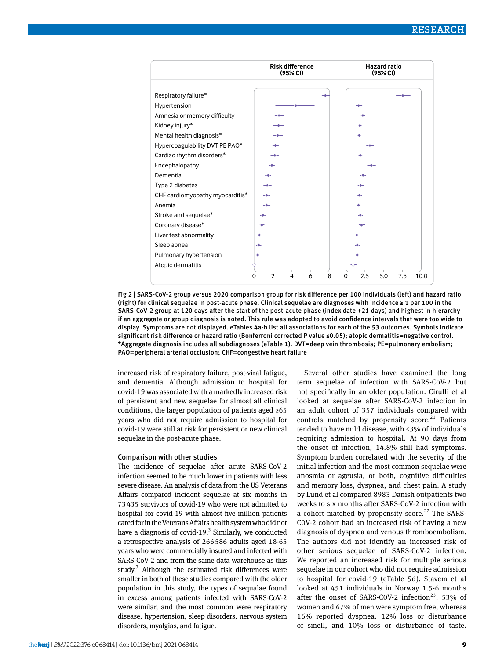

Fig 2 | SARS-CoV-2 group versus 2020 comparison group for risk difference per 100 individuals (left) and hazard ratio (right) for clinical sequelae in post-acute phase. Clinical sequelae are diagnoses with incidence ≥ 1 per 100 in the SARS-CoV-2 group at 120 days after the start of the post-acute phase (index date +21 days) and highest in hierarchy if an aggregate or group diagnosis is noted. This rule was adopted to avoid confidence intervals that were too wide to display. Symptoms are not displayed. eTables 4a-b list all associations for each of the 53 outcomes. Symbols indicate significant risk difference or hazard ratio (Bonferroni corrected P value ≤0.05); atopic dermatitis=negative control. \*Aggregate diagnosis includes all subdiagnoses (eTable 1). DVT=deep vein thrombosis; PE=pulmonary embolism; PAO=peripheral arterial occlusion; CHF=congestive heart failure

increased risk of respiratory failure, post-viral fatigue, and dementia. Although admission to hospital for covid-19 was associated with a markedly increased risk of persistent and new sequelae for almost all clinical conditions, the larger population of patients aged ≥65 years who did not require admission to hospital for covid-19 were still at risk for persistent or new clinical sequelae in the post-acute phase.

### Comparison with other studies

The incidence of sequelae after acute SARS-CoV-2 infection seemed to be much lower in patients with less severe disease. An analysis of data from the US Veterans Affairs compared incident sequelae at six months in 73435 survivors of covid-19 who were not admitted to hospital for covid-19 with almost five million patients cared for in the Veterans Affairs health system who did not have a diagnosis of covid-19. $3$  Similarly, we conducted a retrospective analysis of 266586 adults aged 18-65 years who were commercially insured and infected with SARS-CoV-2 and from the same data warehouse as this study. $7$  Although the estimated risk differences were smaller in both of these studies compared with the older population in this study, the types of sequalae found in excess among patients infected with SARS-CoV-2 were similar, and the most common were respiratory disease, hypertension, sleep disorders, nervous system disorders, myalgias, and fatigue.

Several other studies have examined the long term sequelae of infection with SARS-CoV-2 but not specifically in an older population. Cirulli et al looked at sequelae after SARS-CoV-2 infection in an adult cohort of 357 individuals compared with controls matched by propensity score.<sup>21</sup> Patients tended to have mild disease, with <3% of individuals requiring admission to hospital. At 90 days from the onset of infection, 14.8% still had symptoms. Symptom burden correlated with the severity of the initial infection and the most common sequelae were anosmia or ageusia, or both, cognitive difficulties and memory loss, dyspnea, and chest pain. A study by Lund et al compared 8983 Danish outpatients two weeks to six months after SARS-CoV-2 infection with a cohort matched by propensity score.<sup>22</sup> The SARS-C0V-2 cohort had an increased risk of having a new diagnosis of dyspnea and venous thromboembolism. The authors did not identify an increased risk of other serious sequelae of SARS-CoV-2 infection. We reported an increased risk for multiple serious sequelae in our cohort who did not require admission to hospital for covid-19 (eTable 5d). Stavem et al looked at 451 individuals in Norway 1.5-6 months after the onset of SARS-COV-2 infection<sup>23</sup>: 53% of women and 67% of men were symptom free, whereas 16% reported dyspnea, 12% loss or disturbance of smell, and 10% loss or disturbance of taste.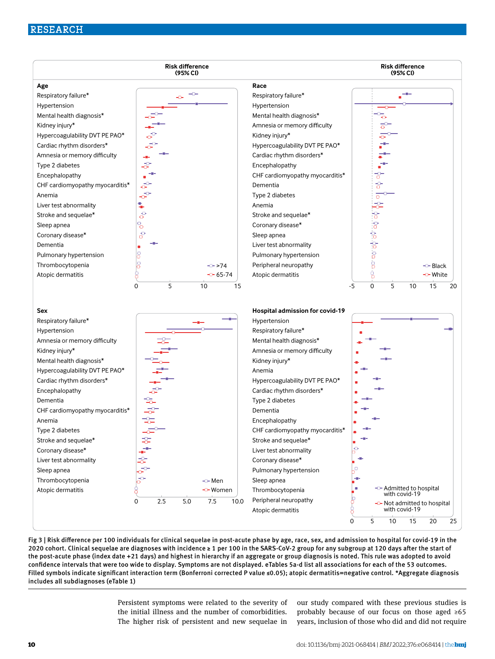# RESEARCH



Fig 3 | Risk difference per 100 individuals for clinical sequelae in post-acute phase by age, race, sex, and admission to hospital for covid-19 in the 2020 cohort. Clinical sequelae are diagnoses with incidence ≥ 1 per 100 in the SARS-CoV-2 group for any subgroup at 120 days after the start of the post-acute phase (index date +21 days) and highest in hierarchy if an aggregate or group diagnosis is noted. This rule was adopted to avoid confidence intervals that were too wide to display. Symptoms are not displayed. eTables 5a-d list all associations for each of the 53 outcomes. Filled symbols indicate significant interaction term (Bonferroni corrected P value ≤0.05); atopic dermatitis=negative control. \*Aggregate diagnosis includes all subdiagnoses (eTable 1)

> Persistent symptoms were related to the severity of the initial illness and the number of comorbidities. The higher risk of persistent and new sequelae in

our study compared with these previous studies is probably because of our focus on those aged ≥65 years, inclusion of those who did and did not require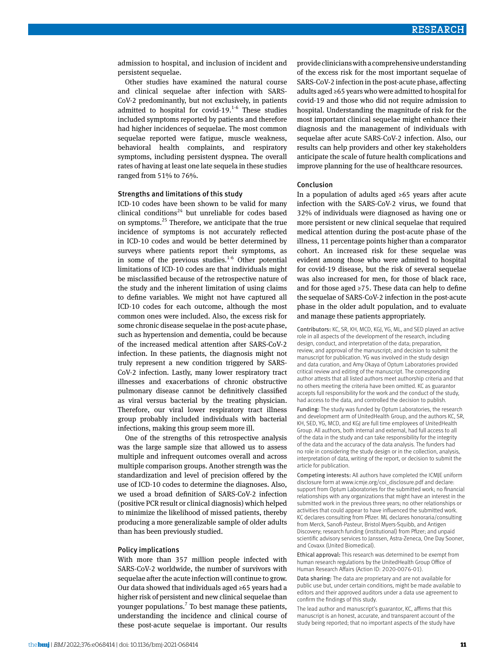admission to hospital, and inclusion of incident and persistent sequelae.

Other studies have examined the natural course and clinical sequelae after infection with SARS-CoV-2 predominantly, but not exclusively, in patients admitted to hospital for covid-19. $1-6$  These studies included symptoms reported by patients and therefore had higher incidences of sequelae. The most common sequelae reported were fatigue, muscle weakness, behavioral health complaints, and respiratory symptoms, including persistent dyspnea. The overall rates of having at least one late sequela in these studies ranged from 51% to 76%.

#### Strengths and limitations of this study

ICD-10 codes have been shown to be valid for many clinical conditions<sup>24</sup> but unreliable for codes based on symptoms.25 Therefore, we anticipate that the true incidence of symptoms is not accurately reflected in ICD-10 codes and would be better determined by surveys where patients report their symptoms, as in some of the previous studies. $1-6$  Other potential limitations of ICD-10 codes are that individuals might be misclassified because of the retrospective nature of the study and the inherent limitation of using claims to define variables. We might not have captured all ICD-10 codes for each outcome, although the most common ones were included. Also, the excess risk for some chronic disease sequelae in the post-acute phase, such as hypertension and dementia, could be because of the increased medical attention after SARS-CoV-2 infection. In these patients, the diagnosis might not truly represent a new condition triggered by SARS-CoV-2 infection. Lastly, many lower respiratory tract illnesses and exacerbations of chronic obstructive pulmonary disease cannot be definitively classified as viral versus bacterial by the treating physician. Therefore, our viral lower respiratory tract illness group probably included individuals with bacterial infections, making this group seem more ill.

One of the strengths of this retrospective analysis was the large sample size that allowed us to assess multiple and infrequent outcomes overall and across multiple comparison groups. Another strength was the standardization and level of precision offered by the use of ICD-10 codes to determine the diagnoses. Also, we used a broad definition of SARS-CoV-2 infection (positive PCR result or clinical diagnosis) which helped to minimize the likelihood of missed patients, thereby producing a more generalizable sample of older adults than has been previously studied.

# Policy implications

With more than 357 million people infected with SARS-CoV-2 worldwide, the number of survivors with sequelae after the acute infection will continue to grow. Our data showed that individuals aged ≥65 years had a higher risk of persistent and new clinical sequelae than younger populations.<sup>7</sup> To best manage these patients, understanding the incidence and clinical course of these post-acute sequelae is important. Our results provide clinicians with a comprehensive understanding of the excess risk for the most important sequelae of SARS-CoV-2 infection in the post-acute phase, affecting adults aged ≥65 years who were admitted to hospital for covid-19 and those who did not require admission to hospital. Understanding the magnitude of risk for the most important clinical sequelae might enhance their diagnosis and the management of individuals with sequelae after acute SARS-CoV-2 infection. Also, our results can help providers and other key stakeholders anticipate the scale of future health complications and improve planning for the use of healthcare resources.

#### Conclusion

In a population of adults aged ≥65 years after acute infection with the SARS-CoV-2 virus, we found that 32% of individuals were diagnosed as having one or more persistent or new clinical sequelae that required medical attention during the post-acute phase of the illness, 11 percentage points higher than a comparator cohort. An increased risk for these sequelae was evident among those who were admitted to hospital for covid-19 disease, but the risk of several sequelae was also increased for men, for those of black race, and for those aged  $\geq$ 75. These data can help to define the sequelae of SARS-CoV-2 infection in the post-acute phase in the older adult population, and to evaluate and manage these patients appropriately.

Contributors: KC, SR, KH, MCD, KGJ, YG, ML, and SED played an active role in all aspects of the development of the research, including design, conduct, and interpretation of the data; preparation, review, and approval of the manuscript; and decision to submit the manuscript for publication. YG was involved in the study design and data curation, and Amy Okaya of Optum Laboratories provided critical review and editing of the manuscript. The corresponding author attests that all listed authors meet authorship criteria and that no others meeting the criteria have been omitted. KC as guarantor accepts full responsibility for the work and the conduct of the study, had access to the data, and controlled the decision to publish.

Funding: The study was funded by Optum Laboratories, the research and development arm of UnitedHealth Group, and the authors KC, SR, KH, SED, YG, MCD, and KGJ are full time employees of UnitedHealth Group. All authors, both internal and external, had full access to all of the data in the study and can take responsibility for the integrity of the data and the accuracy of the data analysis. The funders had no role in considering the study design or in the collection, analysis, interpretation of data, writing of the report, or decision to submit the article for publication.

Competing interests: All authors have completed the ICMJE uniform disclosure form at [www.icmje.org/coi\\_disclosure.pdf](http://www.icmje.org/coi_disclosure.pdf) and declare: support from Optum Laboratories for the submitted work; no financial relationships with any organizations that might have an interest in the submitted work in the previous three years; no other relationships or activities that could appear to have influenced the submitted work. KC declares consulting from Pfizer. ML declares honoraria/consulting from Merck, Sanofi-Pasteur, Bristol Myers-Squibb, and Antigen Discovery; research funding (institutional) from Pfizer; and unpaid scientific advisory services to Janssen, Astra-Zeneca, One Day Sooner, and Covaxx (United Biomedical).

Ethical approval: This research was determined to be exempt from human research regulations by the UnitedHealth Group Office of Human Research Affairs (Action ID: 2020-0076-01).

Data sharing: The data are proprietary and are not available for public use but, under certain conditions, might be made available to editors and their approved auditors under a data use agreement to confirm the findings of this study.

The lead author and manuscript's guarantor, KC, affirms that this manuscript is an honest, accurate, and transparent account of the study being reported; that no important aspects of the study have